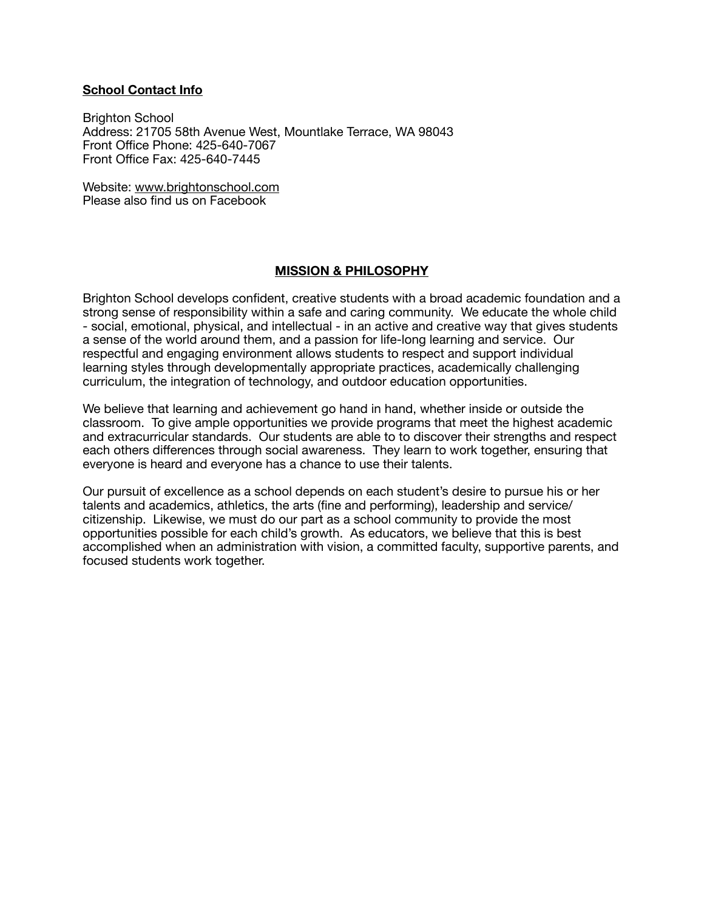#### **School Contact Info**

Brighton School Address: 21705 58th Avenue West, Mountlake Terrace, WA 98043 Front Office Phone: 425-640-7067 Front Office Fax: 425-640-7445

Website: [www.brightonschool.com](http://www.brightonschool.com) Please also find us on Facebook

#### **MISSION & PHILOSOPHY**

Brighton School develops confident, creative students with a broad academic foundation and a strong sense of responsibility within a safe and caring community. We educate the whole child - social, emotional, physical, and intellectual - in an active and creative way that gives students a sense of the world around them, and a passion for life-long learning and service. Our respectful and engaging environment allows students to respect and support individual learning styles through developmentally appropriate practices, academically challenging curriculum, the integration of technology, and outdoor education opportunities.

We believe that learning and achievement go hand in hand, whether inside or outside the classroom. To give ample opportunities we provide programs that meet the highest academic and extracurricular standards. Our students are able to to discover their strengths and respect each others differences through social awareness. They learn to work together, ensuring that everyone is heard and everyone has a chance to use their talents.

Our pursuit of excellence as a school depends on each student's desire to pursue his or her talents and academics, athletics, the arts (fine and performing), leadership and service/ citizenship. Likewise, we must do our part as a school community to provide the most opportunities possible for each child's growth. As educators, we believe that this is best accomplished when an administration with vision, a committed faculty, supportive parents, and focused students work together.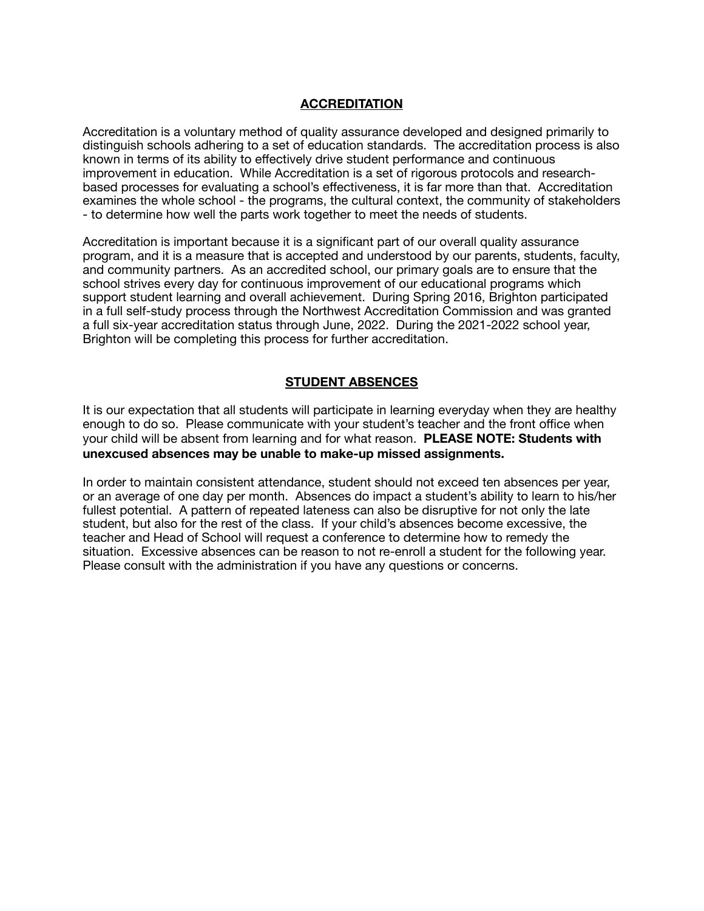#### **ACCREDITATION**

Accreditation is a voluntary method of quality assurance developed and designed primarily to distinguish schools adhering to a set of education standards. The accreditation process is also known in terms of its ability to effectively drive student performance and continuous improvement in education. While Accreditation is a set of rigorous protocols and researchbased processes for evaluating a school's effectiveness, it is far more than that. Accreditation examines the whole school - the programs, the cultural context, the community of stakeholders - to determine how well the parts work together to meet the needs of students.

Accreditation is important because it is a significant part of our overall quality assurance program, and it is a measure that is accepted and understood by our parents, students, faculty, and community partners. As an accredited school, our primary goals are to ensure that the school strives every day for continuous improvement of our educational programs which support student learning and overall achievement. During Spring 2016, Brighton participated in a full self-study process through the Northwest Accreditation Commission and was granted a full six-year accreditation status through June, 2022. During the 2021-2022 school year, Brighton will be completing this process for further accreditation.

### **STUDENT ABSENCES**

It is our expectation that all students will participate in learning everyday when they are healthy enough to do so. Please communicate with your student's teacher and the front office when your child will be absent from learning and for what reason. **PLEASE NOTE: Students with unexcused absences may be unable to make-up missed assignments.** 

In order to maintain consistent attendance, student should not exceed ten absences per year, or an average of one day per month. Absences do impact a student's ability to learn to his/her fullest potential. A pattern of repeated lateness can also be disruptive for not only the late student, but also for the rest of the class. If your child's absences become excessive, the teacher and Head of School will request a conference to determine how to remedy the situation. Excessive absences can be reason to not re-enroll a student for the following year. Please consult with the administration if you have any questions or concerns.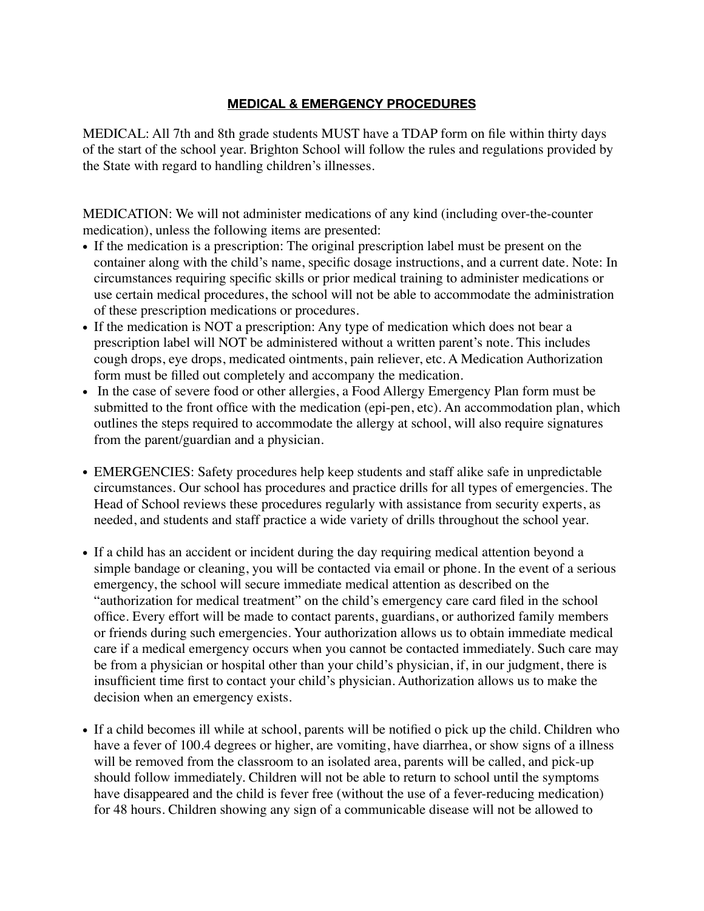## **MEDICAL & EMERGENCY PROCEDURES**

MEDICAL: All 7th and 8th grade students MUST have a TDAP form on file within thirty days of the start of the school year. Brighton School will follow the rules and regulations provided by the State with regard to handling children's illnesses.

MEDICATION: We will not administer medications of any kind (including over-the-counter medication), unless the following items are presented:

- If the medication is a prescription: The original prescription label must be present on the container along with the child's name, specific dosage instructions, and a current date. Note: In circumstances requiring specific skills or prior medical training to administer medications or use certain medical procedures, the school will not be able to accommodate the administration of these prescription medications or procedures.
- If the medication is NOT a prescription: Any type of medication which does not bear a prescription label will NOT be administered without a written parent's note. This includes cough drops, eye drops, medicated ointments, pain reliever, etc. A Medication Authorization form must be filled out completely and accompany the medication.
- In the case of severe food or other allergies, a Food Allergy Emergency Plan form must be submitted to the front office with the medication (epi-pen, etc). An accommodation plan, which outlines the steps required to accommodate the allergy at school, will also require signatures from the parent/guardian and a physician.
- EMERGENCIES: Safety procedures help keep students and staff alike safe in unpredictable circumstances. Our school has procedures and practice drills for all types of emergencies. The Head of School reviews these procedures regularly with assistance from security experts, as needed, and students and staff practice a wide variety of drills throughout the school year.
- If a child has an accident or incident during the day requiring medical attention beyond a simple bandage or cleaning, you will be contacted via email or phone. In the event of a serious emergency, the school will secure immediate medical attention as described on the "authorization for medical treatment" on the child's emergency care card filed in the school office. Every effort will be made to contact parents, guardians, or authorized family members or friends during such emergencies. Your authorization allows us to obtain immediate medical care if a medical emergency occurs when you cannot be contacted immediately. Such care may be from a physician or hospital other than your child's physician, if, in our judgment, there is insufficient time first to contact your child's physician. Authorization allows us to make the decision when an emergency exists.
- If a child becomes ill while at school, parents will be notified o pick up the child. Children who have a fever of 100.4 degrees or higher, are vomiting, have diarrhea, or show signs of a illness will be removed from the classroom to an isolated area, parents will be called, and pick-up should follow immediately. Children will not be able to return to school until the symptoms have disappeared and the child is fever free (without the use of a fever-reducing medication) for 48 hours. Children showing any sign of a communicable disease will not be allowed to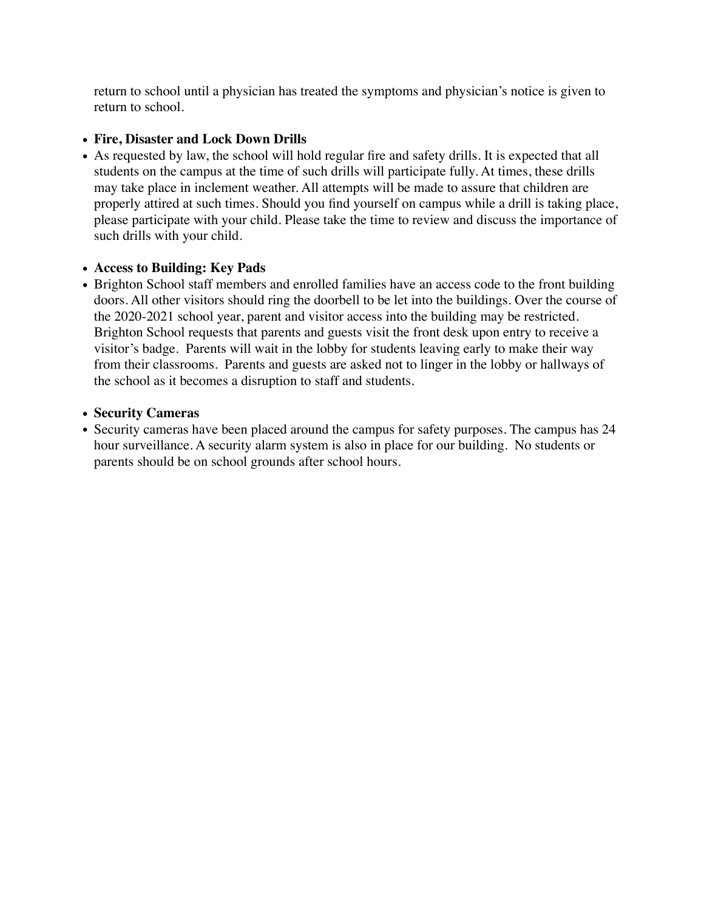return to school until a physician has treated the symptoms and physician's notice is given to return to school.

## • **Fire, Disaster and Lock Down Drills**

• As requested by law, the school will hold regular fire and safety drills. It is expected that all students on the campus at the time of such drills will participate fully. At times, these drills may take place in inclement weather. All attempts will be made to assure that children are properly attired at such times. Should you find yourself on campus while a drill is taking place, please participate with your child. Please take the time to review and discuss the importance of such drills with your child.

## • **Access to Building: Key Pads**

• Brighton School staff members and enrolled families have an access code to the front building doors. All other visitors should ring the doorbell to be let into the buildings. Over the course of the 2020-2021 school year, parent and visitor access into the building may be restricted. Brighton School requests that parents and guests visit the front desk upon entry to receive a visitor's badge. Parents will wait in the lobby for students leaving early to make their way from their classrooms. Parents and guests are asked not to linger in the lobby or hallways of the school as it becomes a disruption to staff and students.

## • **Security Cameras**

• Security cameras have been placed around the campus for safety purposes. The campus has 24 hour surveillance. A security alarm system is also in place for our building. No students or parents should be on school grounds after school hours.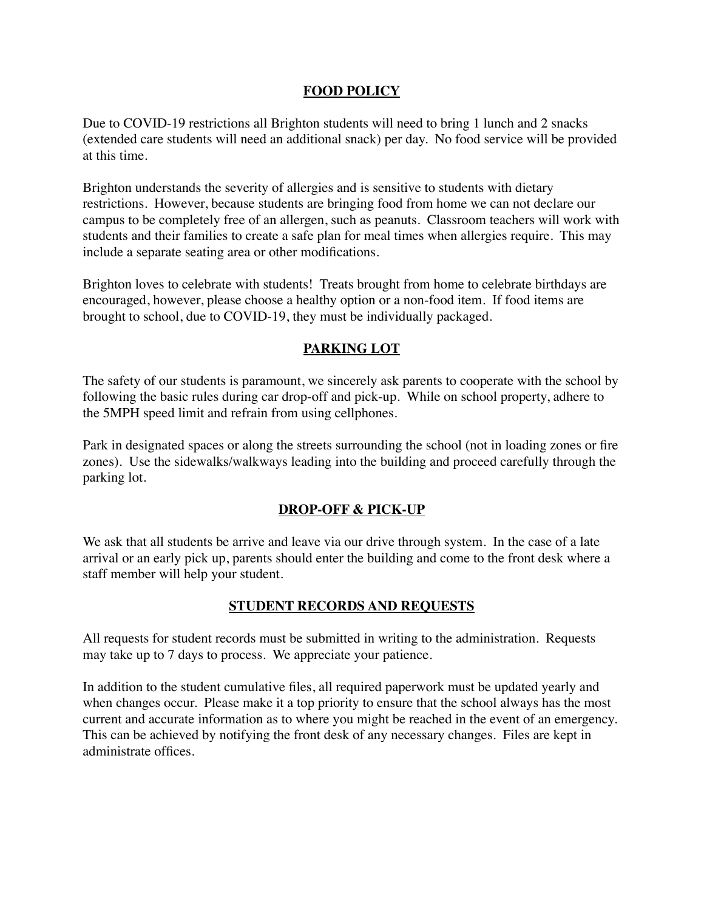### **FOOD POLICY**

Due to COVID-19 restrictions all Brighton students will need to bring 1 lunch and 2 snacks (extended care students will need an additional snack) per day. No food service will be provided at this time.

Brighton understands the severity of allergies and is sensitive to students with dietary restrictions. However, because students are bringing food from home we can not declare our campus to be completely free of an allergen, such as peanuts. Classroom teachers will work with students and their families to create a safe plan for meal times when allergies require. This may include a separate seating area or other modifications.

Brighton loves to celebrate with students! Treats brought from home to celebrate birthdays are encouraged, however, please choose a healthy option or a non-food item. If food items are brought to school, due to COVID-19, they must be individually packaged.

## **PARKING LOT**

The safety of our students is paramount, we sincerely ask parents to cooperate with the school by following the basic rules during car drop-off and pick-up. While on school property, adhere to the 5MPH speed limit and refrain from using cellphones.

Park in designated spaces or along the streets surrounding the school (not in loading zones or fire zones). Use the sidewalks/walkways leading into the building and proceed carefully through the parking lot.

## **DROP-OFF & PICK-UP**

We ask that all students be arrive and leave via our drive through system. In the case of a late arrival or an early pick up, parents should enter the building and come to the front desk where a staff member will help your student.

## **STUDENT RECORDS AND REQUESTS**

All requests for student records must be submitted in writing to the administration. Requests may take up to 7 days to process. We appreciate your patience.

In addition to the student cumulative files, all required paperwork must be updated yearly and when changes occur. Please make it a top priority to ensure that the school always has the most current and accurate information as to where you might be reached in the event of an emergency. This can be achieved by notifying the front desk of any necessary changes. Files are kept in administrate offices.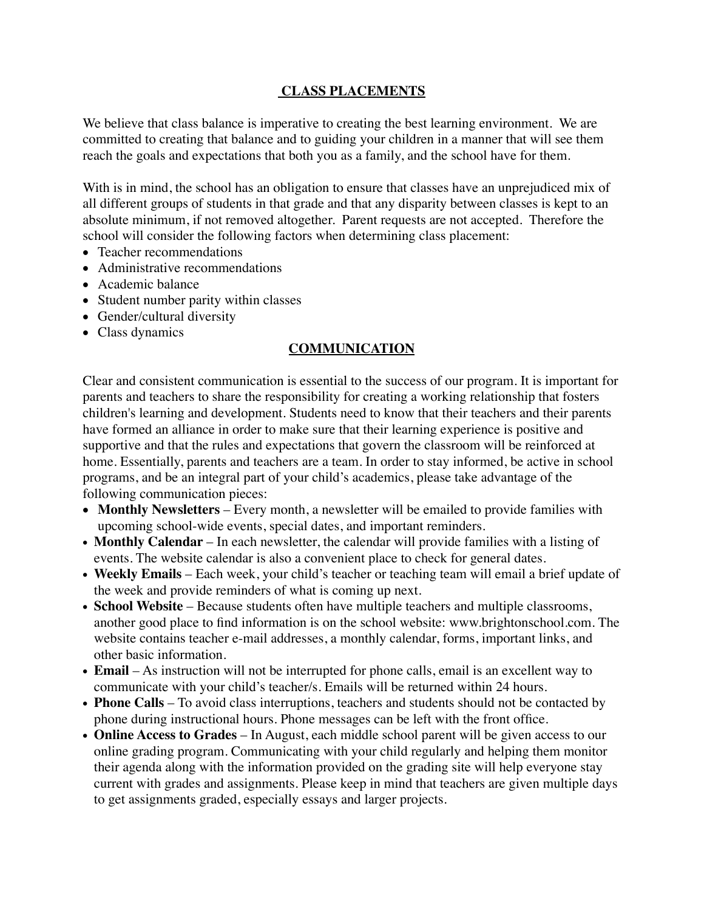## **CLASS PLACEMENTS**

We believe that class balance is imperative to creating the best learning environment. We are committed to creating that balance and to guiding your children in a manner that will see them reach the goals and expectations that both you as a family, and the school have for them.

With is in mind, the school has an obligation to ensure that classes have an unprejudiced mix of all different groups of students in that grade and that any disparity between classes is kept to an absolute minimum, if not removed altogether. Parent requests are not accepted. Therefore the school will consider the following factors when determining class placement:

- Teacher recommendations
- Administrative recommendations
- Academic balance
- Student number parity within classes
- Gender/cultural diversity
- Class dynamics

## **COMMUNICATION**

Clear and consistent communication is essential to the success of our program. It is important for parents and teachers to share the responsibility for creating a working relationship that fosters children's learning and development. Students need to know that their teachers and their parents have formed an alliance in order to make sure that their learning experience is positive and supportive and that the rules and expectations that govern the classroom will be reinforced at home. Essentially, parents and teachers are a team. In order to stay informed, be active in school programs, and be an integral part of your child's academics, please take advantage of the following communication pieces:

- **Monthly Newsletters** Every month, a newsletter will be emailed to provide families with upcoming school-wide events, special dates, and important reminders.
- **Monthly Calendar** In each newsletter, the calendar will provide families with a listing of events. The website calendar is also a convenient place to check for general dates.
- **Weekly Emails** Each week, your child's teacher or teaching team will email a brief update of the week and provide reminders of what is coming up next.
- **School Website** Because students often have multiple teachers and multiple classrooms, another good place to find information is on the school website: www.brightonschool.com. The website contains teacher e-mail addresses, a monthly calendar, forms, important links, and other basic information.
- **Email**  As instruction will not be interrupted for phone calls, email is an excellent way to communicate with your child's teacher/s. Emails will be returned within 24 hours.
- **Phone Calls** To avoid class interruptions, teachers and students should not be contacted by phone during instructional hours. Phone messages can be left with the front office.
- **Online Access to Grades** In August, each middle school parent will be given access to our online grading program. Communicating with your child regularly and helping them monitor their agenda along with the information provided on the grading site will help everyone stay current with grades and assignments. Please keep in mind that teachers are given multiple days to get assignments graded, especially essays and larger projects.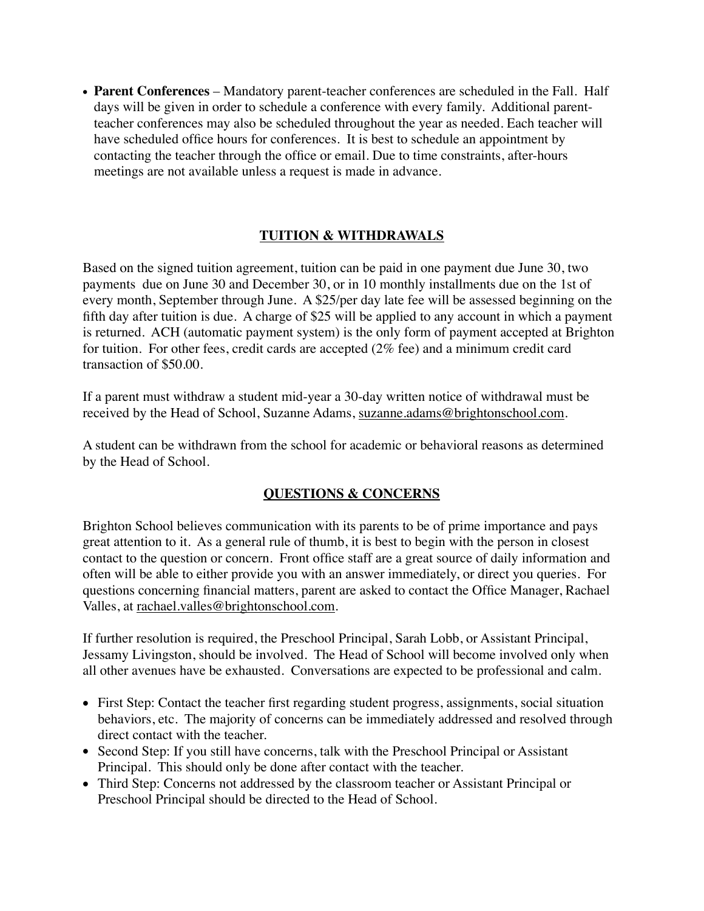• **Parent Conferences** – Mandatory parent-teacher conferences are scheduled in the Fall. Half days will be given in order to schedule a conference with every family. Additional parentteacher conferences may also be scheduled throughout the year as needed. Each teacher will have scheduled office hours for conferences. It is best to schedule an appointment by contacting the teacher through the office or email. Due to time constraints, after-hours meetings are not available unless a request is made in advance.

## **TUITION & WITHDRAWALS**

Based on the signed tuition agreement, tuition can be paid in one payment due June 30, two payments due on June 30 and December 30, or in 10 monthly installments due on the 1st of every month, September through June. A \$25/per day late fee will be assessed beginning on the fifth day after tuition is due. A charge of \$25 will be applied to any account in which a payment is returned. ACH (automatic payment system) is the only form of payment accepted at Brighton for tuition. For other fees, credit cards are accepted (2% fee) and a minimum credit card transaction of \$50.00.

If a parent must withdraw a student mid-year a 30-day written notice of withdrawal must be received by the Head of School, Suzanne Adams, [suzanne.adams@brightonschool.com.](mailto:suzanne.adams@brightonschool.com)

A student can be withdrawn from the school for academic or behavioral reasons as determined by the Head of School.

## **QUESTIONS & CONCERNS**

Brighton School believes communication with its parents to be of prime importance and pays great attention to it. As a general rule of thumb, it is best to begin with the person in closest contact to the question or concern. Front office staff are a great source of daily information and often will be able to either provide you with an answer immediately, or direct you queries. For questions concerning financial matters, parent are asked to contact the Office Manager, Rachael Valles, at [rachael.valles@brightonschool.com](mailto:rachael.valles@brightonschool.com).

If further resolution is required, the Preschool Principal, Sarah Lobb, or Assistant Principal, Jessamy Livingston, should be involved. The Head of School will become involved only when all other avenues have be exhausted. Conversations are expected to be professional and calm.

- First Step: Contact the teacher first regarding student progress, assignments, social situation behaviors, etc. The majority of concerns can be immediately addressed and resolved through direct contact with the teacher.
- Second Step: If you still have concerns, talk with the Preschool Principal or Assistant Principal. This should only be done after contact with the teacher.
- Third Step: Concerns not addressed by the classroom teacher or Assistant Principal or Preschool Principal should be directed to the Head of School.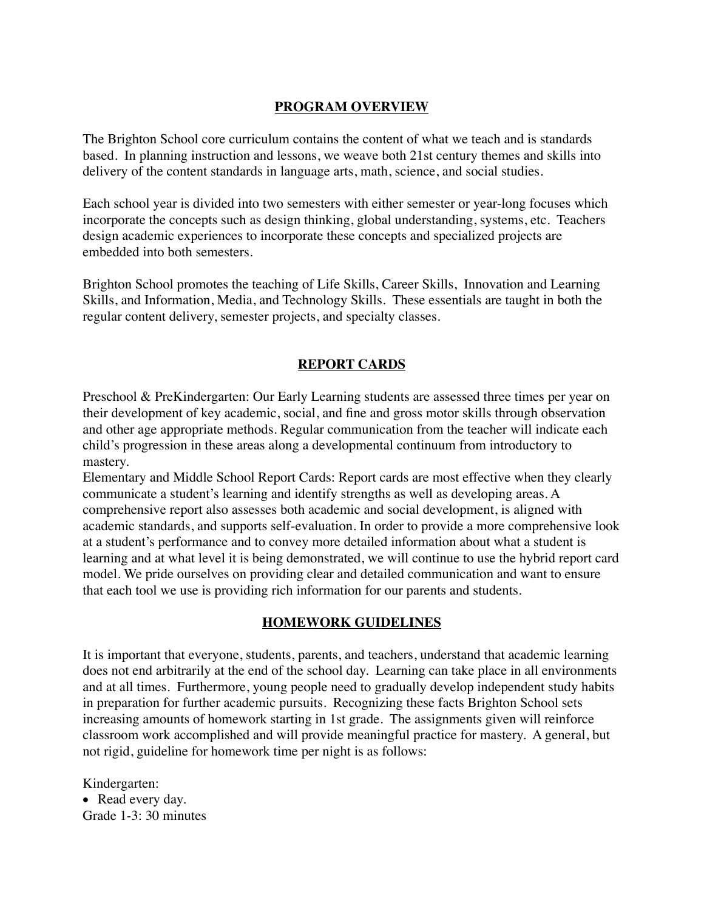## **PROGRAM OVERVIEW**

The Brighton School core curriculum contains the content of what we teach and is standards based. In planning instruction and lessons, we weave both 21st century themes and skills into delivery of the content standards in language arts, math, science, and social studies.

Each school year is divided into two semesters with either semester or year-long focuses which incorporate the concepts such as design thinking, global understanding, systems, etc. Teachers design academic experiences to incorporate these concepts and specialized projects are embedded into both semesters.

Brighton School promotes the teaching of Life Skills, Career Skills, Innovation and Learning Skills, and Information, Media, and Technology Skills. These essentials are taught in both the regular content delivery, semester projects, and specialty classes.

## **REPORT CARDS**

Preschool & PreKindergarten: Our Early Learning students are assessed three times per year on their development of key academic, social, and fine and gross motor skills through observation and other age appropriate methods. Regular communication from the teacher will indicate each child's progression in these areas along a developmental continuum from introductory to mastery.

Elementary and Middle School Report Cards: Report cards are most effective when they clearly communicate a student's learning and identify strengths as well as developing areas. A comprehensive report also assesses both academic and social development, is aligned with academic standards, and supports self-evaluation. In order to provide a more comprehensive look at a student's performance and to convey more detailed information about what a student is learning and at what level it is being demonstrated, we will continue to use the hybrid report card model. We pride ourselves on providing clear and detailed communication and want to ensure that each tool we use is providing rich information for our parents and students.

#### **HOMEWORK GUIDELINES**

It is important that everyone, students, parents, and teachers, understand that academic learning does not end arbitrarily at the end of the school day. Learning can take place in all environments and at all times. Furthermore, young people need to gradually develop independent study habits in preparation for further academic pursuits. Recognizing these facts Brighton School sets increasing amounts of homework starting in 1st grade. The assignments given will reinforce classroom work accomplished and will provide meaningful practice for mastery. A general, but not rigid, guideline for homework time per night is as follows:

Kindergarten:

• Read every day. Grade 1-3: 30 minutes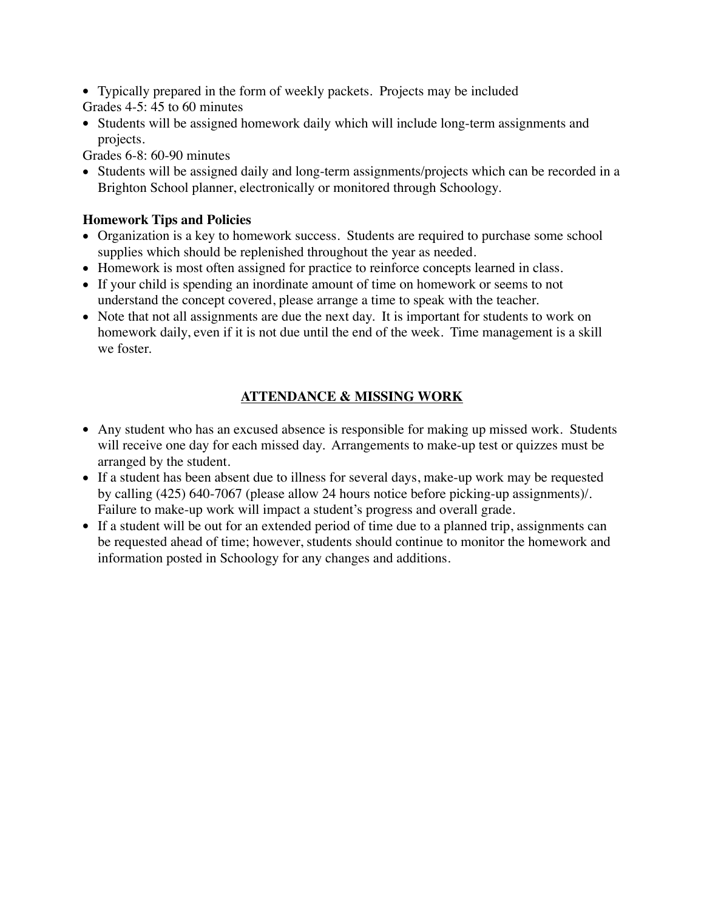- Typically prepared in the form of weekly packets. Projects may be included
- Grades 4-5: 45 to 60 minutes
- Students will be assigned homework daily which will include long-term assignments and projects.

Grades 6-8: 60-90 minutes

• Students will be assigned daily and long-term assignments/projects which can be recorded in a Brighton School planner, electronically or monitored through Schoology.

# **Homework Tips and Policies**

- Organization is a key to homework success. Students are required to purchase some school supplies which should be replenished throughout the year as needed.
- Homework is most often assigned for practice to reinforce concepts learned in class.
- If your child is spending an inordinate amount of time on homework or seems to not understand the concept covered, please arrange a time to speak with the teacher.
- Note that not all assignments are due the next day. It is important for students to work on homework daily, even if it is not due until the end of the week. Time management is a skill we foster.

# **ATTENDANCE & MISSING WORK**

- Any student who has an excused absence is responsible for making up missed work. Students will receive one day for each missed day. Arrangements to make-up test or quizzes must be arranged by the student.
- If a student has been absent due to illness for several days, make-up work may be requested by calling (425) 640-7067 (please allow 24 hours notice before picking-up assignments)/. Failure to make-up work will impact a student's progress and overall grade.
- If a student will be out for an extended period of time due to a planned trip, assignments can be requested ahead of time; however, students should continue to monitor the homework and information posted in Schoology for any changes and additions.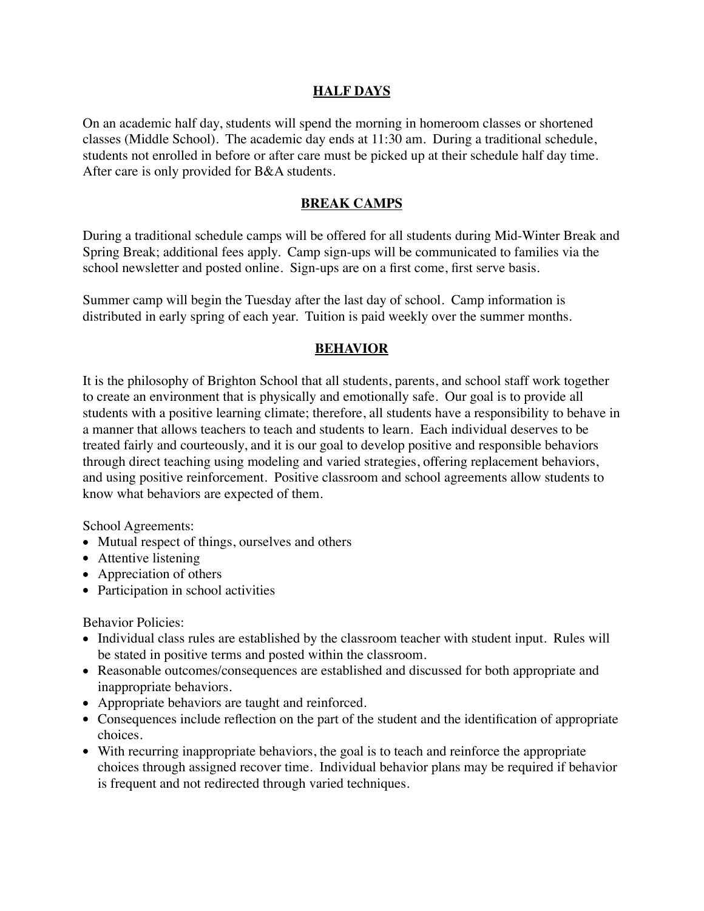### **HALF DAYS**

On an academic half day, students will spend the morning in homeroom classes or shortened classes (Middle School). The academic day ends at 11:30 am. During a traditional schedule, students not enrolled in before or after care must be picked up at their schedule half day time. After care is only provided for B&A students.

#### **BREAK CAMPS**

During a traditional schedule camps will be offered for all students during Mid-Winter Break and Spring Break; additional fees apply. Camp sign-ups will be communicated to families via the school newsletter and posted online. Sign-ups are on a first come, first serve basis.

Summer camp will begin the Tuesday after the last day of school. Camp information is distributed in early spring of each year. Tuition is paid weekly over the summer months.

#### **BEHAVIOR**

It is the philosophy of Brighton School that all students, parents, and school staff work together to create an environment that is physically and emotionally safe. Our goal is to provide all students with a positive learning climate; therefore, all students have a responsibility to behave in a manner that allows teachers to teach and students to learn. Each individual deserves to be treated fairly and courteously, and it is our goal to develop positive and responsible behaviors through direct teaching using modeling and varied strategies, offering replacement behaviors, and using positive reinforcement. Positive classroom and school agreements allow students to know what behaviors are expected of them.

School Agreements:

- Mutual respect of things, ourselves and others
- Attentive listening
- Appreciation of others
- Participation in school activities

Behavior Policies:

- Individual class rules are established by the classroom teacher with student input. Rules will be stated in positive terms and posted within the classroom.
- Reasonable outcomes/consequences are established and discussed for both appropriate and inappropriate behaviors.
- Appropriate behaviors are taught and reinforced.
- Consequences include reflection on the part of the student and the identification of appropriate choices.
- With recurring inappropriate behaviors, the goal is to teach and reinforce the appropriate choices through assigned recover time. Individual behavior plans may be required if behavior is frequent and not redirected through varied techniques.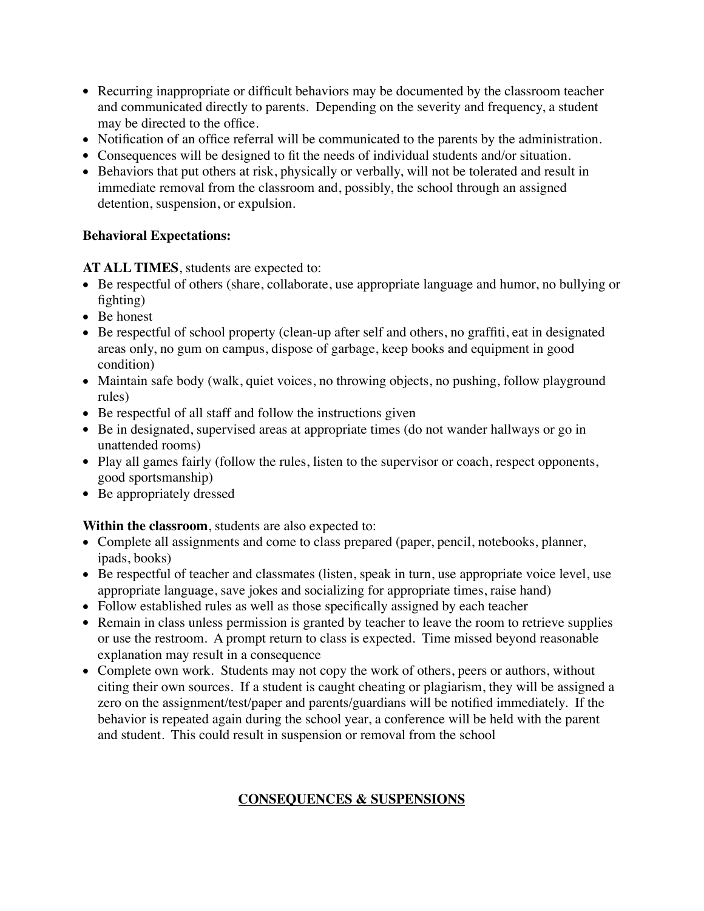- Recurring inappropriate or difficult behaviors may be documented by the classroom teacher and communicated directly to parents. Depending on the severity and frequency, a student may be directed to the office.
- Notification of an office referral will be communicated to the parents by the administration.
- Consequences will be designed to fit the needs of individual students and/or situation.
- Behaviors that put others at risk, physically or verbally, will not be tolerated and result in immediate removal from the classroom and, possibly, the school through an assigned detention, suspension, or expulsion.

## **Behavioral Expectations:**

## **AT ALL TIMES**, students are expected to:

- Be respectful of others (share, collaborate, use appropriate language and humor, no bullying or fighting)
- Be honest
- Be respectful of school property (clean-up after self and others, no graffiti, eat in designated areas only, no gum on campus, dispose of garbage, keep books and equipment in good condition)
- Maintain safe body (walk, quiet voices, no throwing objects, no pushing, follow playground rules)
- Be respectful of all staff and follow the instructions given
- Be in designated, supervised areas at appropriate times (do not wander hallways or go in unattended rooms)
- Play all games fairly (follow the rules, listen to the supervisor or coach, respect opponents, good sportsmanship)
- Be appropriately dressed

# **Within the classroom**, students are also expected to:

- Complete all assignments and come to class prepared (paper, pencil, notebooks, planner, ipads, books)
- Be respectful of teacher and classmates (listen, speak in turn, use appropriate voice level, use appropriate language, save jokes and socializing for appropriate times, raise hand)
- Follow established rules as well as those specifically assigned by each teacher
- Remain in class unless permission is granted by teacher to leave the room to retrieve supplies or use the restroom. A prompt return to class is expected. Time missed beyond reasonable explanation may result in a consequence
- Complete own work. Students may not copy the work of others, peers or authors, without citing their own sources. If a student is caught cheating or plagiarism, they will be assigned a zero on the assignment/test/paper and parents/guardians will be notified immediately. If the behavior is repeated again during the school year, a conference will be held with the parent and student. This could result in suspension or removal from the school

# **CONSEQUENCES & SUSPENSIONS**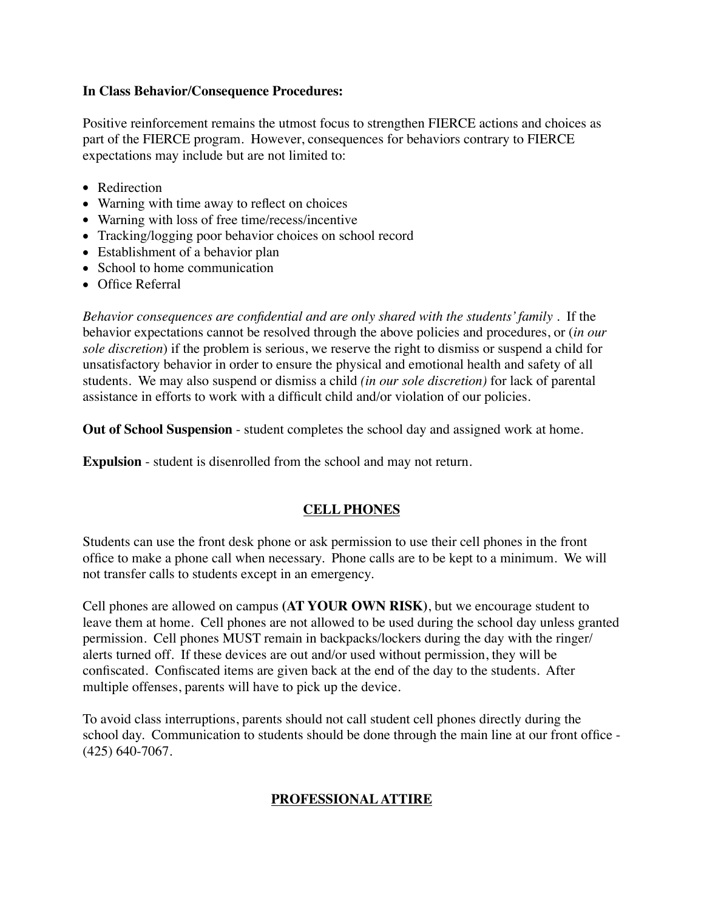### **In Class Behavior/Consequence Procedures:**

Positive reinforcement remains the utmost focus to strengthen FIERCE actions and choices as part of the FIERCE program. However, consequences for behaviors contrary to FIERCE expectations may include but are not limited to:

- Redirection
- Warning with time away to reflect on choices
- Warning with loss of free time/recess/incentive
- Tracking/logging poor behavior choices on school record
- Establishment of a behavior plan
- School to home communication
- Office Referral

*Behavior consequences are confidential and are only shared with the students' family* . If the behavior expectations cannot be resolved through the above policies and procedures, or (*in our sole discretion*) if the problem is serious, we reserve the right to dismiss or suspend a child for unsatisfactory behavior in order to ensure the physical and emotional health and safety of all students. We may also suspend or dismiss a child *(in our sole discretion)* for lack of parental assistance in efforts to work with a difficult child and/or violation of our policies.

**Out of School Suspension** - student completes the school day and assigned work at home.

**Expulsion** - student is disenrolled from the school and may not return.

## **CELL PHONES**

Students can use the front desk phone or ask permission to use their cell phones in the front office to make a phone call when necessary. Phone calls are to be kept to a minimum. We will not transfer calls to students except in an emergency.

Cell phones are allowed on campus **(AT YOUR OWN RISK)**, but we encourage student to leave them at home. Cell phones are not allowed to be used during the school day unless granted permission. Cell phones MUST remain in backpacks/lockers during the day with the ringer/ alerts turned off. If these devices are out and/or used without permission, they will be confiscated. Confiscated items are given back at the end of the day to the students. After multiple offenses, parents will have to pick up the device.

To avoid class interruptions, parents should not call student cell phones directly during the school day. Communication to students should be done through the main line at our front office - (425) 640-7067.

## **PROFESSIONAL ATTIRE**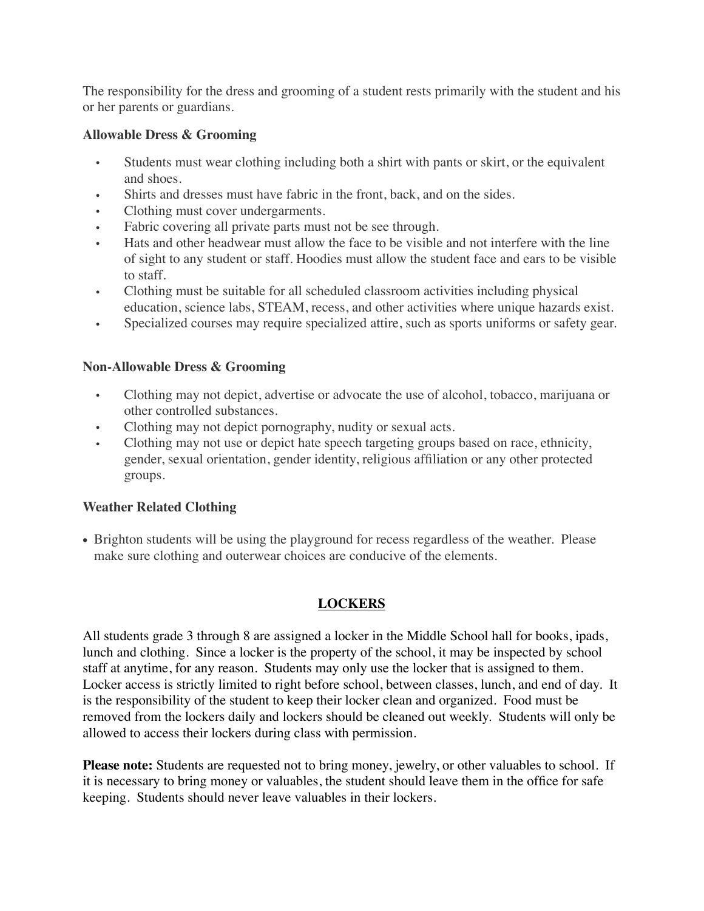The responsibility for the dress and grooming of a student rests primarily with the student and his or her parents or guardians.

### **Allowable Dress & Grooming**

- Students must wear clothing including both a shirt with pants or skirt, or the equivalent and shoes.
- Shirts and dresses must have fabric in the front, back, and on the sides.
- Clothing must cover undergarments.
- Fabric covering all private parts must not be see through.
- Hats and other headwear must allow the face to be visible and not interfere with the line of sight to any student or staff. Hoodies must allow the student face and ears to be visible to staff.
- Clothing must be suitable for all scheduled classroom activities including physical education, science labs, STEAM, recess, and other activities where unique hazards exist.
- Specialized courses may require specialized attire, such as sports uniforms or safety gear.

## **Non-Allowable Dress & Grooming**

- Clothing may not depict, advertise or advocate the use of alcohol, tobacco, marijuana or other controlled substances.
- Clothing may not depict pornography, nudity or sexual acts.
- Clothing may not use or depict hate speech targeting groups based on race, ethnicity, gender, sexual orientation, gender identity, religious affiliation or any other protected groups.

## **Weather Related Clothing**

• Brighton students will be using the playground for recess regardless of the weather. Please make sure clothing and outerwear choices are conducive of the elements.

# **LOCKERS**

All students grade 3 through 8 are assigned a locker in the Middle School hall for books, ipads, lunch and clothing. Since a locker is the property of the school, it may be inspected by school staff at anytime, for any reason. Students may only use the locker that is assigned to them. Locker access is strictly limited to right before school, between classes, lunch, and end of day. It is the responsibility of the student to keep their locker clean and organized. Food must be removed from the lockers daily and lockers should be cleaned out weekly. Students will only be allowed to access their lockers during class with permission.

**Please note:** Students are requested not to bring money, jewelry, or other valuables to school. If it is necessary to bring money or valuables, the student should leave them in the office for safe keeping. Students should never leave valuables in their lockers.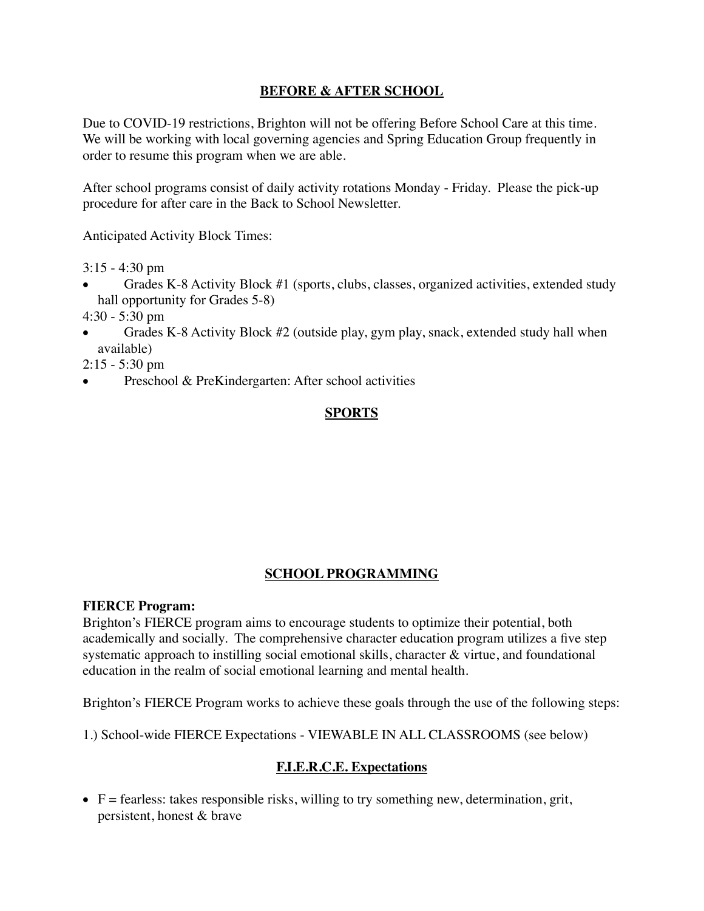## **BEFORE & AFTER SCHOOL**

Due to COVID-19 restrictions, Brighton will not be offering Before School Care at this time. We will be working with local governing agencies and Spring Education Group frequently in order to resume this program when we are able.

After school programs consist of daily activity rotations Monday - Friday. Please the pick-up procedure for after care in the Back to School Newsletter.

Anticipated Activity Block Times:

3:15 - 4:30 pm

- Grades K-8 Activity Block #1 (sports, clubs, classes, organized activities, extended study hall opportunity for Grades 5-8)
- 4:30 5:30 pm
- Grades K-8 Activity Block #2 (outside play, gym play, snack, extended study hall when available)

2:15 - 5:30 pm

Preschool & PreKindergarten: After school activities

## **SPORTS**

## **SCHOOL PROGRAMMING**

#### **FIERCE Program:**

Brighton's FIERCE program aims to encourage students to optimize their potential, both academically and socially. The comprehensive character education program utilizes a five step systematic approach to instilling social emotional skills, character & virtue, and foundational education in the realm of social emotional learning and mental health.

Brighton's FIERCE Program works to achieve these goals through the use of the following steps:

1.) School-wide FIERCE Expectations - VIEWABLE IN ALL CLASSROOMS (see below)

## **F.I.E.R.C.E. Expectations**

• F = fearless: takes responsible risks, willing to try something new, determination, grit, persistent, honest & brave